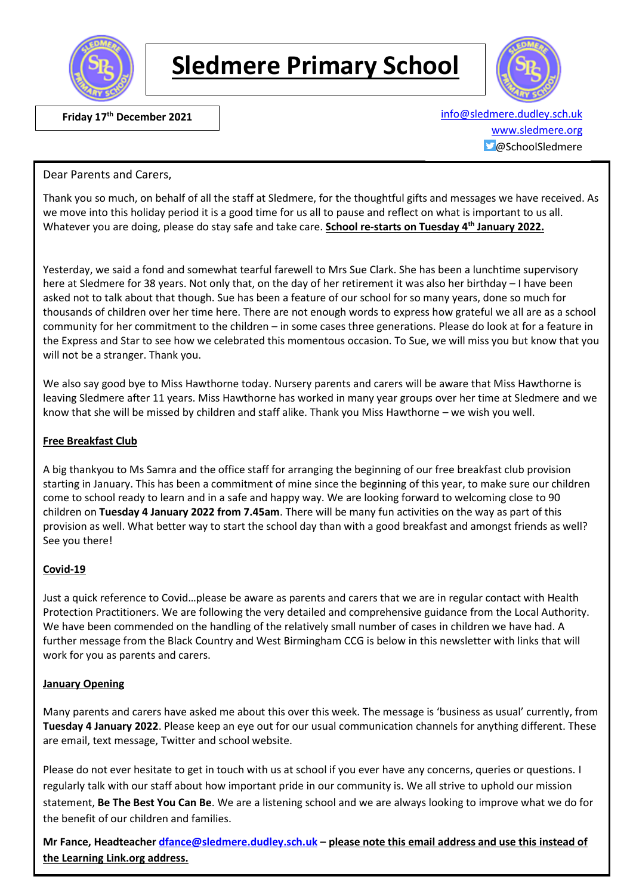

## **Sledmere Primary School**



 **Friday 17th December 2021** [info@sledmere.dudley.sch.uk](mailto:info@sledmere.dudley.sch.uk) [www.sledmere.org](http://www.sledmere.org/)  $\Box$ @SchoolSledmere

### Dear Parents and Carers,

Thank you so much, on behalf of all the staff at Sledmere, for the thoughtful gifts and messages we have received. As we move into this holiday period it is a good time for us all to pause and reflect on what is important to us all. Whatever you are doing, please do stay safe and take care. **School re-starts on Tuesday 4th January 2022.**

Yesterday, we said a fond and somewhat tearful farewell to Mrs Sue Clark. She has been a lunchtime supervisory here at Sledmere for 38 years. Not only that, on the day of her retirement it was also her birthday – I have been asked not to talk about that though. Sue has been a feature of our school for so many years, done so much for thousands of children over her time here. There are not enough words to express how grateful we all are as a school community for her commitment to the children – in some cases three generations. Please do look at for a feature in the Express and Star to see how we celebrated this momentous occasion. To Sue, we will miss you but know that you will not be a stranger. Thank you.

We also say good bye to Miss Hawthorne today. Nursery parents and carers will be aware that Miss Hawthorne is leaving Sledmere after 11 years. Miss Hawthorne has worked in many year groups over her time at Sledmere and we know that she will be missed by children and staff alike. Thank you Miss Hawthorne – we wish you well.

### **Free Breakfast Club**

A big thankyou to Ms Samra and the office staff for arranging the beginning of our free breakfast club provision starting in January. This has been a commitment of mine since the beginning of this year, to make sure our children come to school ready to learn and in a safe and happy way. We are looking forward to welcoming close to 90 children on **Tuesday 4 January 2022 from 7.45am**. There will be many fun activities on the way as part of this provision as well. What better way to start the school day than with a good breakfast and amongst friends as well? See you there!

#### **Covid-19**

Just a quick reference to Covid…please be aware as parents and carers that we are in regular contact with Health Protection Practitioners. We are following the very detailed and comprehensive guidance from the Local Authority. We have been commended on the handling of the relatively small number of cases in children we have had. A further message from the Black Country and West Birmingham CCG is below in this newsletter with links that will work for you as parents and carers.

#### **January Opening**

Many parents and carers have asked me about this over this week. The message is 'business as usual' currently, from **Tuesday 4 January 2022**. Please keep an eye out for our usual communication channels for anything different. These are email, text message, Twitter and school website.

Please do not ever hesitate to get in touch with us at school if you ever have any concerns, queries or questions. I regularly talk with our staff about how important pride in our community is. We all strive to uphold our mission statement, **Be The Best You Can Be**. We are a listening school and we are always looking to improve what we do for the benefit of our children and families.

**Mr Fance, Headteacher [dfance@sledmere.dudley.sch.uk](mailto:dfance@sledmere.dudley.sch.uk) – please note this email address and use this instead of the Learning Link.org address.**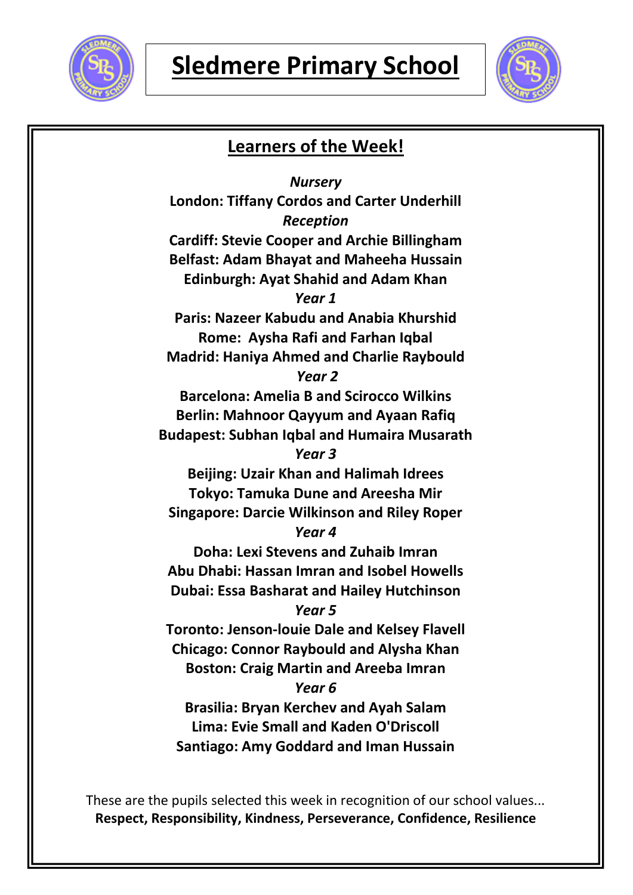



### **Learners of the Week!** *Nursery* **London: Tiffany Cordos and Carter Underhill** *Reception* **Cardiff: Stevie Cooper and Archie Billingham Belfast: Adam Bhayat and Maheeha Hussain Edinburgh: Ayat Shahid and Adam Khan** *Year 1* **Paris: Nazeer Kabudu and Anabia Khurshid Rome: Aysha Rafi and Farhan Iqbal Madrid: Haniya Ahmed and Charlie Raybould** *Year 2* **Barcelona: Amelia B and Scirocco Wilkins Berlin: Mahnoor Qayyum and Ayaan Rafiq Budapest: Subhan Iqbal and Humaira Musarath** *Year 3* **Beijing: Uzair Khan and Halimah Idrees Tokyo: Tamuka Dune and Areesha Mir Singapore: Darcie Wilkinson and Riley Roper** *Year 4* **Doha: Lexi Stevens and Zuhaib Imran Abu Dhabi: Hassan Imran and Isobel Howells Dubai: Essa Basharat and Hailey Hutchinson** *Year 5* **Toronto: Jenson-louie Dale and Kelsey Flavell Chicago: Connor Raybould and Alysha Khan Boston: Craig Martin and Areeba Imran** *Year 6* **Brasilia: Bryan Kerchev and Ayah Salam Lima: Evie Small and Kaden O'Driscoll Santiago: Amy Goddard and Iman Hussain**

These are the pupils selected this week in recognition of our school values... **Respect, Responsibility, Kindness, Perseverance, Confidence, Resilience**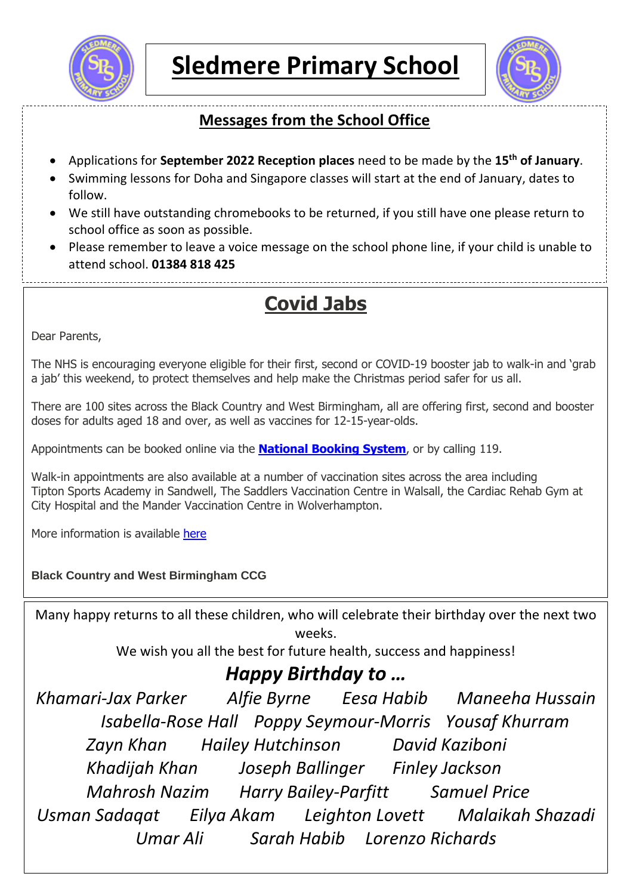



### **Messages from the School Office**

- Applications for **September 2022 Reception places** need to be made by the **15th of January**.
- Swimming lessons for Doha and Singapore classes will start at the end of January, dates to follow.
- We still have outstanding chromebooks to be returned, if you still have one please return to school office as soon as possible.
- Please remember to leave a voice message on the school phone line, if your child is unable to attend school. **01384 818 425**

## **Covid Jabs**

Dear Parents,

The NHS is encouraging everyone eligible for their first, second or COVID-19 booster jab to walk-in and 'grab a jab' this weekend, to protect themselves and help make the Christmas period safer for us all.

There are 100 sites across the Black Country and West Birmingham, all are offering first, second and booster doses for adults aged 18 and over, as well as vaccines for 12-15-year-olds.

Appointments can be booked online via the **[National](https://www.nhs.uk/conditions/coronavirus-covid-19/coronavirus-vaccination/book-coronavirus-vaccination/) Booking System**, or by calling 119.

Walk-in appointments are also available at a number of vaccination sites across the area including Tipton Sports Academy in Sandwell, The Saddlers Vaccination Centre in Walsall, the Cardiac Rehab Gym at City Hospital and the Mander Vaccination Centre in Wolverhampton.

More information is available [here](https://www.blackcountryandwestbirmccg.nhs.uk/your-health-services/health-advice/covid-19-vaccination)

**Black Country and West Birmingham CCG**

Many happy returns to all these children, who will celebrate their birthday over the next two weeks.

We wish you all the best for future health, success and happiness!

### *Happy Birthday to …*

*Khamari-Jax Parker Alfie Byrne Eesa Habib Maneeha Hussain Isabella-Rose Hall Poppy Seymour-Morris Yousaf Khurram Zayn Khan Hailey Hutchinson David Kaziboni Khadijah Khan Joseph Ballinger Finley Jackson Mahrosh Nazim Harry Bailey-Parfitt Samuel Price Usman Sadaqat Eilya Akam Leighton Lovett Malaikah Shazadi Umar Ali Sarah Habib Lorenzo Richards*